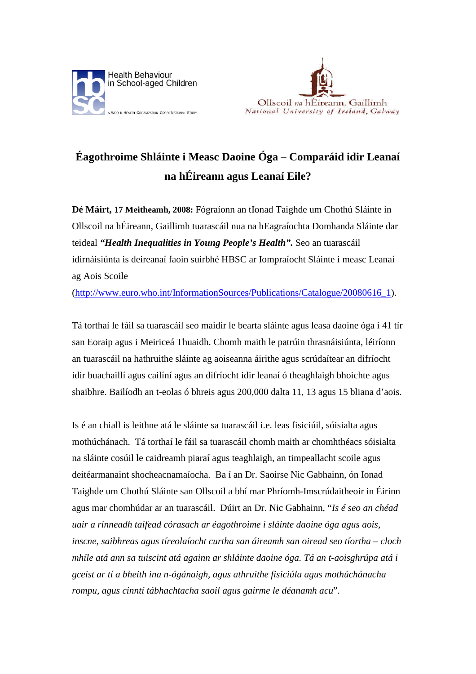



## **Éagothroime Shláinte i Measc Daoine Óga – Comparáid idir Leanaí na hÉireann agus Leanaí Eile?**

**Dé Máirt, 17 Meitheamh, 2008:** Fógraíonn an tIonad Taighde um Chothú Sláinte in Ollscoil na hÉireann, Gaillimh tuarascáil nua na hEagraíochta Domhanda Sláinte dar teideal *"Health Inequalities in Young People's Health".* Seo an tuarascáil idirnáisiúnta is deireanaí faoin suirbhé HBSC ar Iompraíocht Sláinte i measc Leanaí ag Aois Scoile

([http://www.euro.who.int/InformationSources/Publications/Catalogue/20080616\\_1\)](http://www.euro.who.int/InformationSources/Publications/Catalogue/20080616_1).

Tá torthaí le fáil sa tuarascáil seo maidir le bearta sláinte agus leasa daoine óga i 41 tír san Eoraip agus i Meiriceá Thuaidh. Chomh maith le patrúin thrasnáisiúnta, léiríonn an tuarascáil na hathruithe sláinte ag aoiseanna áirithe agus scrúdaítear an difríocht idir buachaillí agus cailíní agus an difríocht idir leanaí ó theaghlaigh bhoichte agus shaibhre. Bailíodh an t-eolas ó bhreis agus 200,000 dalta 11, 13 agus 15 bliana d'aois.

Is é an chiall is leithne atá le sláinte sa tuarascáil i.e. leas fisiciúil, sóisialta agus mothúchánach. Tá torthaí le fáil sa tuarascáil chomh maith ar chomhthéacs sóisialta na sláinte cosúil le caidreamh piaraí agus teaghlaigh, an timpeallacht scoile agus deitéarmanaint shocheacnamaíocha. Ba í an Dr. Saoirse Nic Gabhainn, ón Ionad Taighde um Chothú Sláinte san Ollscoil a bhí mar Phríomh-Imscrúdaitheoir in Éirinn agus mar chomhúdar ar an tuarascáil. Dúirt an Dr. Nic Gabhainn, "*Is é seo an chéad uair a rinneadh taifead córasach ar éagothroime i sláinte daoine óga agus aois, inscne, saibhreas agus tíreolaíocht curtha san áireamh san oiread seo tíortha – cloch mhíle atá ann sa tuiscint atá againn ar shláinte daoine óga. Tá an t-aoisghrúpa atá i gceist ar tí a bheith ina n-ógánaigh, agus athruithe fisiciúla agus mothúchánacha rompu, agus cinntí tábhachtacha saoil agus gairme le déanamh acu*".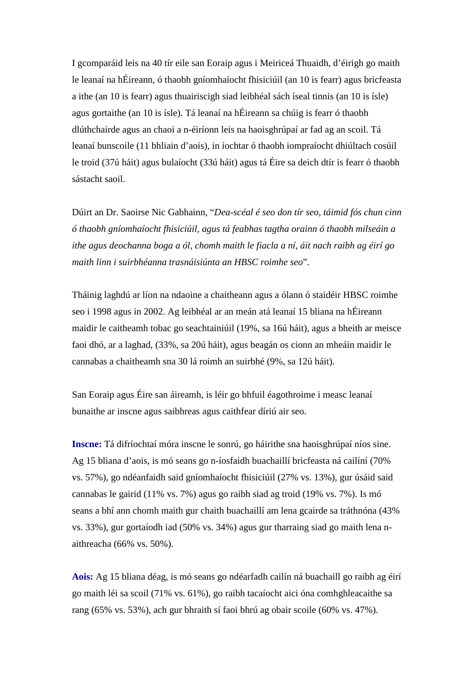I gcomparáid leis na 40 tír eile san Eoraip agus i Meiriceá Thuaidh, d'éirigh go maith le leanaí na hÉireann, ó thaobh gníomhaíocht fhisiciúil (an 10 is fearr) agus bricfeasta a ithe (an 10 is fearr) agus thuairiscigh siad leibhéal sách íseal tinnis (an 10 is ísle) agus gortaithe (an 10 is ísle). Tá leanaí na hÉireann sa chúig is fearr ó thaobh dlúthchairde agus an chaoi a n-éiríonn leis na haoisghrúpaí ar fad ag an scoil. Tá leanaí bunscoile (11 bhliain d'aois), in íochtar ó thaobh iompraíocht dhiúltach cosúil le troid (37ú háit) agus bulaíocht (33ú háit) agus tá Éire sa deich dtír is fearr ó thaobh sástacht saoil.

Dúirt an Dr. Saoirse Nic Gabhainn, "*Dea-scéal é seo don tír seo, táimid fós chun cinn ó thaobh gníomhaíocht fhisiciúil, agus tá feabhas tagtha orainn ó thaobh milseáin a ithe agus deochanna boga a ól, chomh maith le fiacla a ní, áit nach raibh ag éirí go maith linn i suirbhéanna trasnáisiúnta an HBSC roimhe seo*".

Tháinig laghdú ar líon na ndaoine a chaitheann agus a ólann ó staidéir HBSC roimhe seo i 1998 agus in 2002. Ag leibhéal ar an meán atá leanaí 15 bliana na hÉireann maidir le caitheamh tobac go seachtainiúil (19%, sa 16ú háit), agus a bheith ar meisce faoi dhó, ar a laghad, (33%, sa 20ú háit), agus beagán os cionn an mheáin maidir le cannabas a chaitheamh sna 30 lá roimh an suirbhé (9%, sa 12ú háit).

San Eoraip agus Éire san áireamh, is léir go bhfuil éagothroime i measc leanaí bunaithe ar inscne agus saibhreas agus caithfear díriú air seo.

**Inscne:** Tá difríochtaí móra inscne le sonrú, go háirithe sna haoisghrúpaí níos sine. Ag 15 bliana d'aois, is mó seans go n-íosfaidh buachaillí bricfeasta ná cailíní (70% vs. 57%), go ndéanfaidh said gníomhaíocht fhisiciúil (27% vs. 13%), gur úsáid said cannabas le gairid (11% vs. 7%) agus go raibh siad ag troid (19% vs. 7%). Is mó seans a bhí ann chomh maith gur chaith buachaillí am lena gcairde sa tráthnóna (43% vs. 33%), gur gortaíodh iad (50% vs. 34%) agus gur tharraing siad go maith lena naithreacha (66% vs. 50%).

**Aois:** Ag 15 bliana déag, is mó seans go ndéarfadh cailín ná buachaill go raibh ag éirí go maith léi sa scoil (71% vs. 61%), go raibh tacaíocht aici óna comhghleacaithe sa rang (65% vs. 53%), ach gur bhraith sí faoi bhrú ag obair scoile (60% vs. 47%).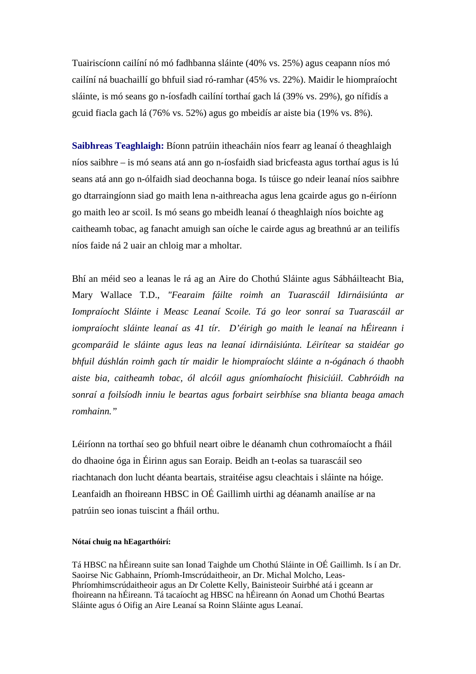Tuairiscíonn cailíní nó mó fadhbanna sláinte (40% vs. 25%) agus ceapann níos mó cailíní ná buachaillí go bhfuil siad ró-ramhar (45% vs. 22%). Maidir le hiompraíocht sláinte, is mó seans go n-íosfadh cailíní torthaí gach lá (39% vs. 29%), go nífidís a gcuid fiacla gach lá (76% vs. 52%) agus go mbeidís ar aiste bia (19% vs. 8%).

**Saibhreas Teaghlaigh:** Bíonn patrúin itheacháin níos fearr ag leanaí ó theaghlaigh níos saibhre – is mó seans atá ann go n-íosfaidh siad bricfeasta agus torthaí agus is lú seans atá ann go n-ólfaidh siad deochanna boga. Is túisce go ndeir leanaí níos saibhre go dtarraingíonn siad go maith lena n-aithreacha agus lena gcairde agus go n-éiríonn go maith leo ar scoil. Is mó seans go mbeidh leanaí ó theaghlaigh níos boichte ag caitheamh tobac, ag fanacht amuigh san oíche le cairde agus ag breathnú ar an teilifís níos faide ná 2 uair an chloig mar a mholtar.

Bhí an méid seo a leanas le rá ag an Aire do Chothú Sláinte agus Sábháilteacht Bia, Mary Wallace T.D., *"Fearaim fáilte roimh an Tuarascáil Idirnáisiúnta ar Iompraíocht Sláinte i Measc Leanaí Scoile. Tá go leor sonraí sa Tuarascáil ar iompraíocht sláinte leanaí as 41 tír. D'éirigh go maith le leanaí na hÉireann i gcomparáid le sláinte agus leas na leanaí idirnáisiúnta. Léirítear sa staidéar go bhfuil dúshlán roimh gach tír maidir le hiompraíocht sláinte a n-ógánach ó thaobh aiste bia, caitheamh tobac, ól alcóil agus gníomhaíocht fhisiciúil. Cabhróidh na sonraí a foilsíodh inniu le beartas agus forbairt seirbhíse sna blianta beaga amach romhainn."*

Léiríonn na torthaí seo go bhfuil neart oibre le déanamh chun cothromaíocht a fháil do dhaoine óga in Éirinn agus san Eoraip. Beidh an t-eolas sa tuarascáil seo riachtanach don lucht déanta beartais, straitéise agsu cleachtais i sláinte na hóige. Leanfaidh an fhoireann HBSC in OÉ Gaillimh uirthi ag déanamh anailíse ar na patrúin seo ionas tuiscint a fháil orthu.

## **Nótaí chuig na hEagarthóirí:**

Tá HBSC na hÉireann suite san Ionad Taighde um Chothú Sláinte in OÉ Gaillimh. Is í an Dr. Saoirse Nic Gabhainn, Príomh-Imscrúdaitheoir, an Dr. Michal Molcho, Leas-Phríomhimscrúdaitheoir agus an Dr Colette Kelly, Bainisteoir Suirbhé atá i gceann ar fhoireann na hÉireann. Tá tacaíocht ag HBSC na hÉireann ón Aonad um Chothú Beartas Sláinte agus ó Oifig an Aire Leanaí sa Roinn Sláinte agus Leanaí.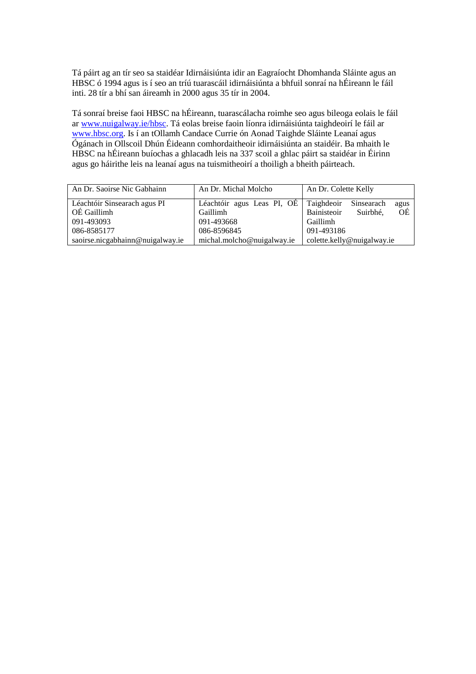Tá páirt ag an tír seo sa staidéar Idirnáisiúnta idir an Eagraíocht Dhomhanda Sláinte agus an HBSC ó 1994 agus is í seo an tríú tuarascáil idirnáisiúnta a bhfuil sonraí na hÉireann le fáil inti. 28 tír a bhí san áireamh in 2000 agus 35 tír in 2004.

Tá sonraí breise faoi HBSC na hÉireann, tuarascálacha roimhe seo agus bileoga eolais le fáil ar [www.nuigalway.ie/hbsc.](http://www.nuigalway.ie/hbsc) Tá eolas breise faoin líonra idirnáisiúnta taighdeoirí le fáil ar [www.hbsc.org](http://www.hbsc.org/). Is í an tOllamh Candace Currie ón Aonad Taighde Sláinte Leanaí agus Ógánach in Ollscoil Dhún Éideann comhordaitheoir idirnáisiúnta an staidéir. Ba mhaith le HBSC na hÉireann buíochas a ghlacadh leis na 337 scoil a ghlac páirt sa staidéar in Éirinn agus go háirithe leis na leanaí agus na tuismitheoirí a thoiligh a bheith páirteach.

| An Dr. Saoirse Nic Gabhainn                 | An Dr. Michal Molcho                   | An Dr. Colette Kelly                                              |  |
|---------------------------------------------|----------------------------------------|-------------------------------------------------------------------|--|
| Léachtóir Sinsearach agus PI<br>OÉ Gaillimh | Léachtóir agus Leas PI, OÉ<br>Gaillimh | Taighdeoir<br>Sinsearach<br>agus<br>OÉ<br>Bainisteoir<br>Suirbhé. |  |
| 091-493093                                  | 091-493668                             | Gaillimh                                                          |  |
| 086-8585177                                 | 086-8596845                            | 091-493186                                                        |  |
| saoirse.nicgabhainn@nuigalway.ie            | michal.molcho@nuigalway.ie             | colette.kelly@nuigalway.ie                                        |  |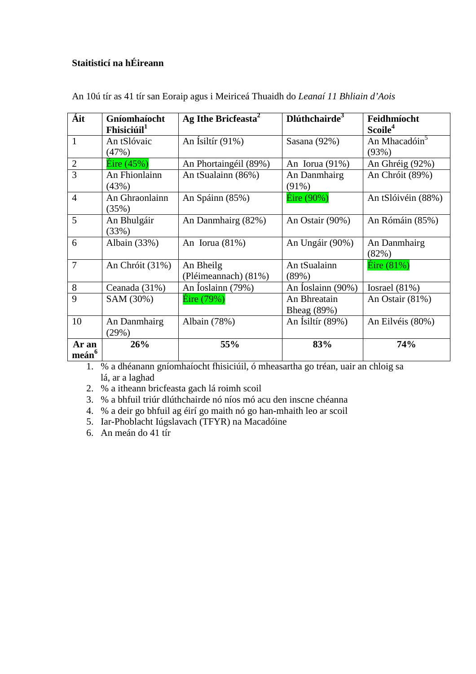## **Staitisticí na hÉireann**

| Áit                        | Gníomhaíocht<br>Fhisiciúil <sup>1</sup> | Ag Ithe Bricfeasta <sup>2</sup>   | $D$ lúthchairde $3$         | Feidhmíocht<br>Scoile <sup>4</sup> |
|----------------------------|-----------------------------------------|-----------------------------------|-----------------------------|------------------------------------|
| $\mathbf{1}$               | An tSlóvaic<br>(47%)                    | An Isiltír $(91\%)$               | Sasana $(92\%)$             | An Mhacadóin <sup>5</sup><br>(93%) |
| 2                          | $\hat{\text{E}}$ ire (45%)              | An Phortaingéil (89%)             | An Iorua $(91\%)$           | An Ghréig (92%)                    |
| 3                          | An Fhionlainn<br>(43%)                  | An tSualainn (86%)                | An Danmhairg<br>$(91\%)$    | An Chróit (89%)                    |
| $\overline{4}$             | An Ghraonlainn<br>(35%)                 | An Spáinn (85%)                   | $E$ ire (90%)               | An tSlóivéin (88%)                 |
| 5                          | An Bhulgáir<br>(33%)                    | An Danmhairg (82%)                | An Ostair (90%)             | An Rómáin (85%)                    |
| 6                          | Albain (33%)                            | An Iorua $(81\%)$                 | An Ungáir (90%)             | An Danmhairg<br>(82%)              |
| $\overline{7}$             | An Chróit (31%)                         | An Bheilg<br>(Pléimeannach) (81%) | An tSualainn<br>(89%)       | $\text{Éire } (81\%)$              |
| 8                          | Ceanada (31%)                           | An Íoslainn (79%)                 | An Ioslainn (90%)           | Iosrael $(81\%)$                   |
| 9                          | SAM (30%)                               | Éire (79%)                        | An Bhreatain<br>Bheag (89%) | An Ostair (81%)                    |
| 10                         | An Danmhairg<br>(29%)                   | Albain (78%)                      | An Ísiltír (89%)            | An Eilvéis (80%)                   |
| Ar an<br>meán <sup>6</sup> | 26%                                     | 55%                               | 83%                         | 74%                                |

An 10ú tír as 41 tír san Eoraip agus i Meiriceá Thuaidh do *Leanaí 11 Bhliain d'Aois*

1. % a dhéanann gníomhaíocht fhisiciúil, ó mheasartha go tréan, uair an chloig sa lá, ar a laghad

2. % a itheann bricfeasta gach lá roimh scoil

3. % a bhfuil triúr dlúthchairde nó níos mó acu den inscne chéanna

- 4. % a deir go bhfuil ag éirí go maith nó go han-mhaith leo ar scoil
- 5. Iar-Phoblacht Iúgslavach (TFYR) na Macadóine
- 6. An meán do 41 tír